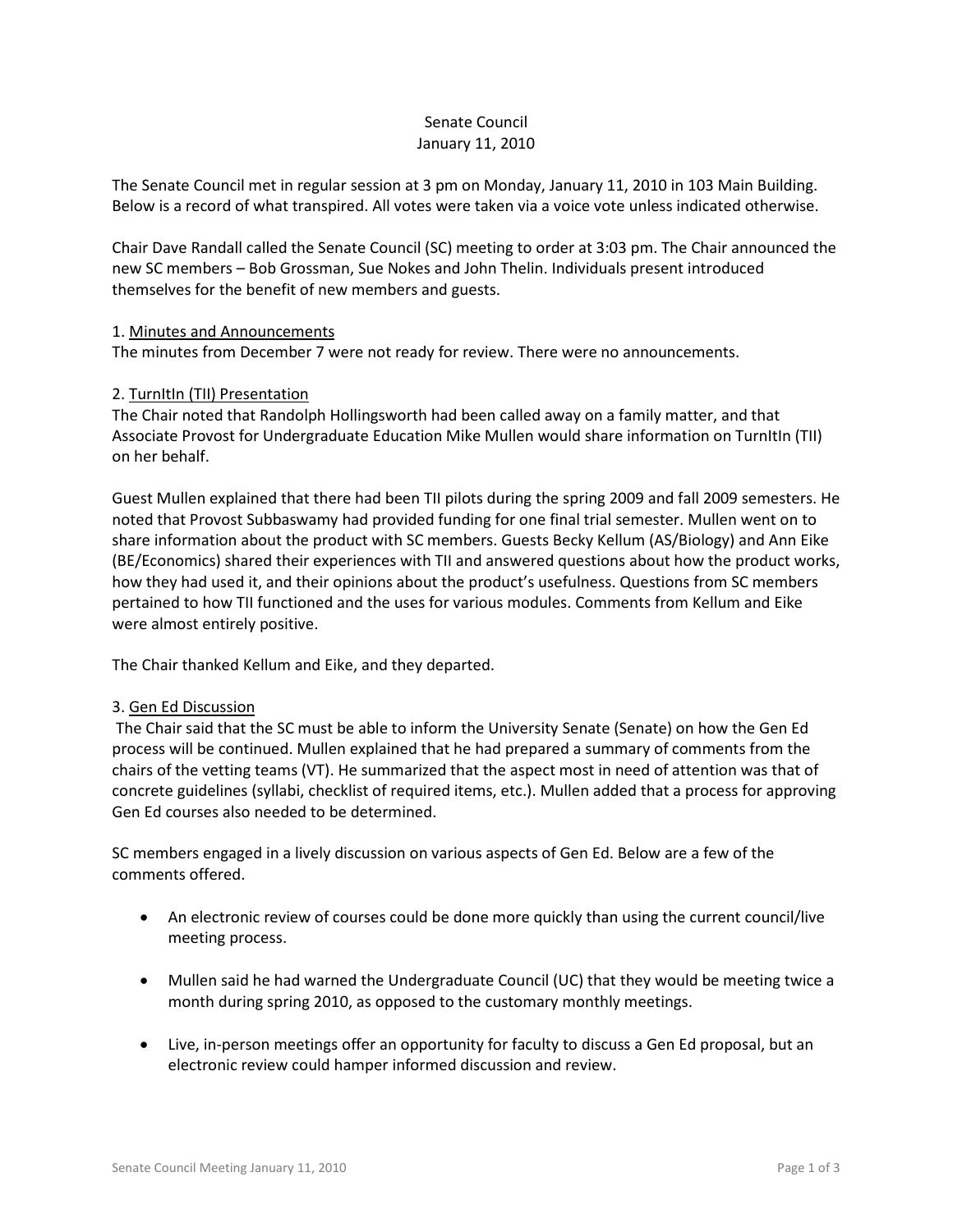# Senate Council January 11, 2010

The Senate Council met in regular session at 3 pm on Monday, January 11, 2010 in 103 Main Building. Below is a record of what transpired. All votes were taken via a voice vote unless indicated otherwise.

Chair Dave Randall called the Senate Council (SC) meeting to order at 3:03 pm. The Chair announced the new SC members – Bob Grossman, Sue Nokes and John Thelin. Individuals present introduced themselves for the benefit of new members and guests.

### 1. Minutes and Announcements

The minutes from December 7 were not ready for review. There were no announcements.

### 2. TurnItIn (TII) Presentation

The Chair noted that Randolph Hollingsworth had been called away on a family matter, and that Associate Provost for Undergraduate Education Mike Mullen would share information on TurnItIn (TII) on her behalf.

Guest Mullen explained that there had been TII pilots during the spring 2009 and fall 2009 semesters. He noted that Provost Subbaswamy had provided funding for one final trial semester. Mullen went on to share information about the product with SC members. Guests Becky Kellum (AS/Biology) and Ann Eike (BE/Economics) shared their experiences with TII and answered questions about how the product works, how they had used it, and their opinions about the product's usefulness. Questions from SC members pertained to how TII functioned and the uses for various modules. Comments from Kellum and Eike were almost entirely positive.

The Chair thanked Kellum and Eike, and they departed.

#### 3. Gen Ed Discussion

The Chair said that the SC must be able to inform the University Senate (Senate) on how the Gen Ed process will be continued. Mullen explained that he had prepared a summary of comments from the chairs of the vetting teams (VT). He summarized that the aspect most in need of attention was that of concrete guidelines (syllabi, checklist of required items, etc.). Mullen added that a process for approving Gen Ed courses also needed to be determined.

SC members engaged in a lively discussion on various aspects of Gen Ed. Below are a few of the comments offered.

- An electronic review of courses could be done more quickly than using the current council/live meeting process.
- Mullen said he had warned the Undergraduate Council (UC) that they would be meeting twice a month during spring 2010, as opposed to the customary monthly meetings.
- Live, in-person meetings offer an opportunity for faculty to discuss a Gen Ed proposal, but an electronic review could hamper informed discussion and review.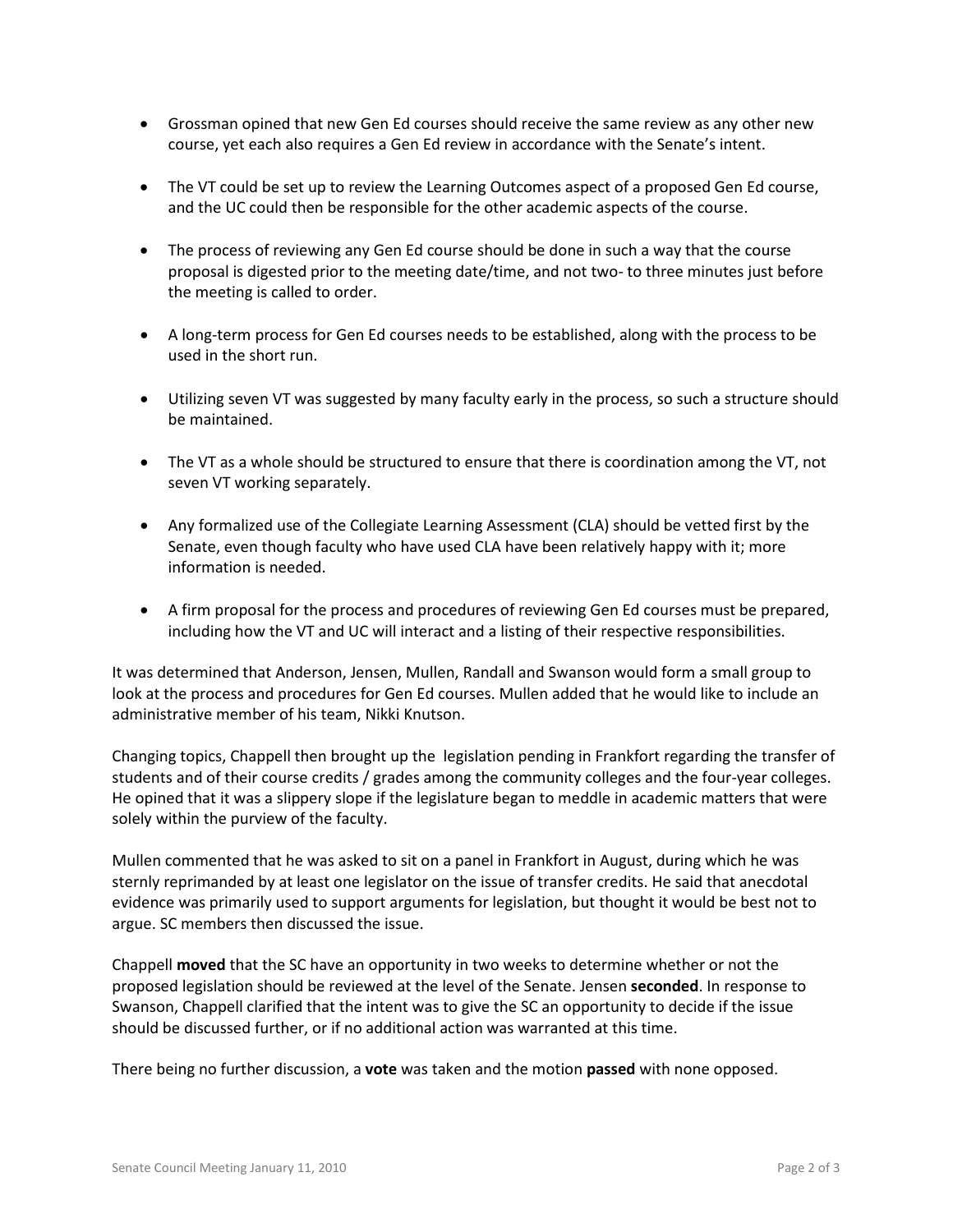- Grossman opined that new Gen Ed courses should receive the same review as any other new course, yet each also requires a Gen Ed review in accordance with the Senate's intent.
- The VT could be set up to review the Learning Outcomes aspect of a proposed Gen Ed course, and the UC could then be responsible for the other academic aspects of the course.
- The process of reviewing any Gen Ed course should be done in such a way that the course proposal is digested prior to the meeting date/time, and not two- to three minutes just before the meeting is called to order.
- A long-term process for Gen Ed courses needs to be established, along with the process to be used in the short run.
- Utilizing seven VT was suggested by many faculty early in the process, so such a structure should be maintained.
- The VT as a whole should be structured to ensure that there is coordination among the VT, not seven VT working separately.
- Any formalized use of the Collegiate Learning Assessment (CLA) should be vetted first by the Senate, even though faculty who have used CLA have been relatively happy with it; more information is needed.
- A firm proposal for the process and procedures of reviewing Gen Ed courses must be prepared, including how the VT and UC will interact and a listing of their respective responsibilities.

It was determined that Anderson, Jensen, Mullen, Randall and Swanson would form a small group to look at the process and procedures for Gen Ed courses. Mullen added that he would like to include an administrative member of his team, Nikki Knutson.

Changing topics, Chappell then brought up the legislation pending in Frankfort regarding the transfer of students and of their course credits / grades among the community colleges and the four-year colleges. He opined that it was a slippery slope if the legislature began to meddle in academic matters that were solely within the purview of the faculty.

Mullen commented that he was asked to sit on a panel in Frankfort in August, during which he was sternly reprimanded by at least one legislator on the issue of transfer credits. He said that anecdotal evidence was primarily used to support arguments for legislation, but thought it would be best not to argue. SC members then discussed the issue.

Chappell **moved** that the SC have an opportunity in two weeks to determine whether or not the proposed legislation should be reviewed at the level of the Senate. Jensen **seconded**. In response to Swanson, Chappell clarified that the intent was to give the SC an opportunity to decide if the issue should be discussed further, or if no additional action was warranted at this time.

There being no further discussion, a **vote** was taken and the motion **passed** with none opposed.